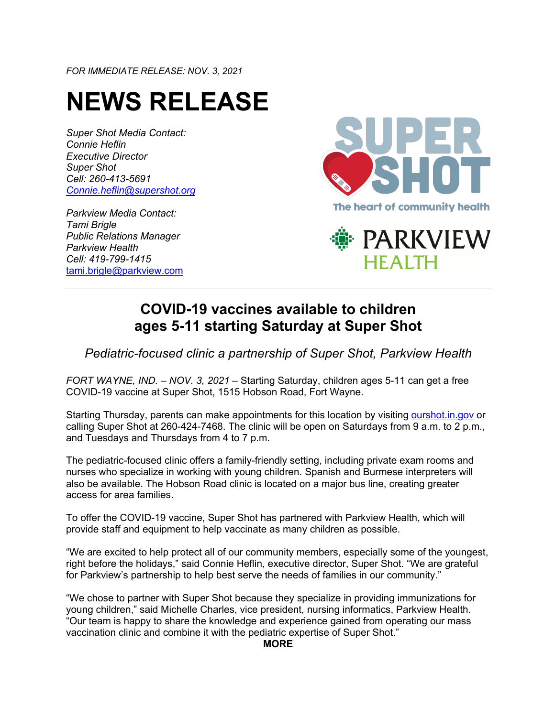*FOR IMMEDIATE RELEASE: NOV. 3, 2021*

## **NEWS RELEASE**

*Super Shot Media Contact: Connie Heflin Executive Director Super Shot Cell: 260-413-5691 Connie.heflin@supershot.org*

*Parkview Media Contact: Tami Brigle Public Relations Manager Parkview Health Cell: 419-799-1415* tami.brigle@parkview.com





## **COVID-19 vaccines available to children ages 5-11 starting Saturday at Super Shot**

*Pediatric-focused clinic a partnership of Super Shot, Parkview Health*

*FORT WAYNE, IND. – NOV. 3, 2021 –* Starting Saturday, children ages 5-11 can get a free COVID-19 vaccine at Super Shot, 1515 Hobson Road, Fort Wayne.

Starting Thursday, parents can make appointments for this location by visiting ourshot.in.gov or calling Super Shot at 260-424-7468. The clinic will be open on Saturdays from 9 a.m. to 2 p.m., and Tuesdays and Thursdays from 4 to 7 p.m.

The pediatric-focused clinic offers a family-friendly setting, including private exam rooms and nurses who specialize in working with young children. Spanish and Burmese interpreters will also be available. The Hobson Road clinic is located on a major bus line, creating greater access for area families.

To offer the COVID-19 vaccine, Super Shot has partnered with Parkview Health, which will provide staff and equipment to help vaccinate as many children as possible.

"We are excited to help protect all of our community members, especially some of the youngest, right before the holidays," said Connie Heflin, executive director, Super Shot. "We are grateful for Parkview's partnership to help best serve the needs of families in our community."

"We chose to partner with Super Shot because they specialize in providing immunizations for young children," said Michelle Charles, vice president, nursing informatics, Parkview Health. "Our team is happy to share the knowledge and experience gained from operating our mass vaccination clinic and combine it with the pediatric expertise of Super Shot."